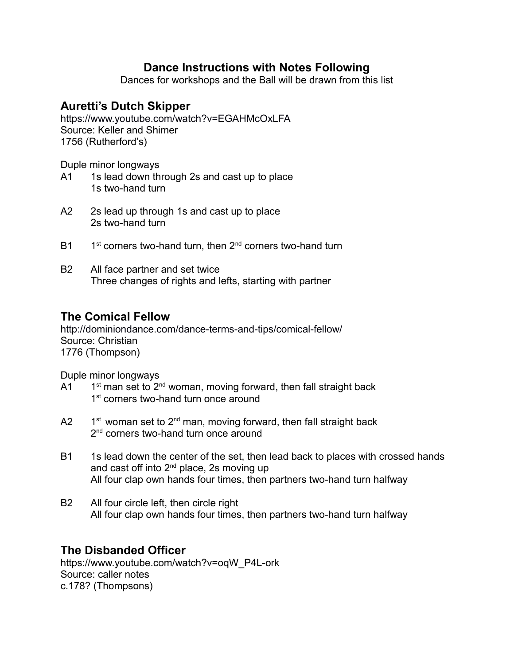# **Dance Instructions with Notes Following**

Dances for workshops and the Ball will be drawn from this list

# **Auretti's Dutch Skipper**

<https://www.youtube.com/watch?v=EGAHMcOxLFA> Source: Keller and Shimer 1756 (Rutherford's)

Duple minor longways

- A1 1s lead down through 2s and cast up to place 1s two-hand turn
- A2 2s lead up through 1s and cast up to place 2s two-hand turn
- $B1$  $1<sup>st</sup>$  corners two-hand turn, then  $2<sup>nd</sup>$  corners two-hand turn
- B2 All face partner and set twice Three changes of rights and lefts, starting with partner

### **The Comical Fellow**

<http://dominiondance.com/dance-terms-and-tips/comical-fellow/> Source: Christian 1776 (Thompson)

Duple minor longways

- $A1$ 1<sup>st</sup> man set to 2<sup>nd</sup> woman, moving forward, then fall straight back 1<sup>st</sup> corners two-hand turn once around
- $A2$  $1<sup>st</sup>$  woman set to  $2<sup>nd</sup>$  man, moving forward, then fall straight back 2<sup>nd</sup> corners two-hand turn once around
- B1 1s lead down the center of the set, then lead back to places with crossed hands and cast off into  $2<sup>nd</sup>$  place, 2s moving up All four clap own hands four times, then partners two-hand turn halfway
- B2 All four circle left, then circle right All four clap own hands four times, then partners two-hand turn halfway

# **The Disbanded Officer**

https://www.youtube.com/watch?v=oqW\_P4L-ork Source: caller notes c.178? (Thompsons)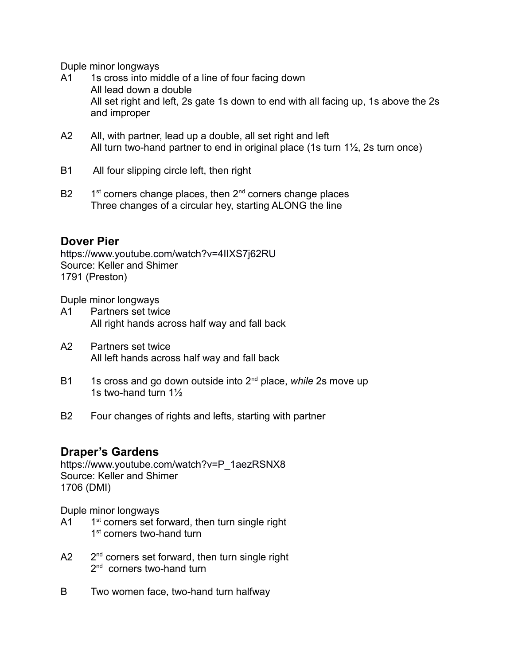Duple minor longways

- A1 1s cross into middle of a line of four facing down All lead down a double All set right and left, 2s gate 1s down to end with all facing up, 1s above the 2s and improper
- A2 All, with partner, lead up a double, all set right and left All turn two-hand partner to end in original place (1s turn  $1\frac{1}{2}$ , 2s turn once)
- B1 All four slipping circle left, then right
- $B2$  $1<sup>st</sup>$  corners change places, then  $2<sup>nd</sup>$  corners change places Three changes of a circular hey, starting ALONG the line

### **Dover Pier**

<https://www.youtube.com/watch?v=4IIXS7j62RU> Source: Keller and Shimer 1791 (Preston)

Duple minor longways

- A1 Partners set twice All right hands across half way and fall back
- A2 Partners set twice All left hands across half way and fall back
- B1 1s cross and go down outside into 2<sup>nd</sup> place, *while* 2s move up 1s two-hand turn 1½
- B2 Four changes of rights and lefts, starting with partner

### **Draper's Gardens**

[https://www.youtube.com/watch?v=P\\_1aezRSNX8](https://www.youtube.com/watch?v=P_1aezRSNX8) Source: Keller and Shimer 1706 (DMI)

- $A1$  $1<sup>st</sup>$  corners set forward, then turn single right 1<sup>st</sup> corners two-hand turn
- $A2$ 2<sup>nd</sup> corners set forward, then turn single right 2<sup>nd</sup> corners two-hand turn
- B Two women face, two-hand turn halfway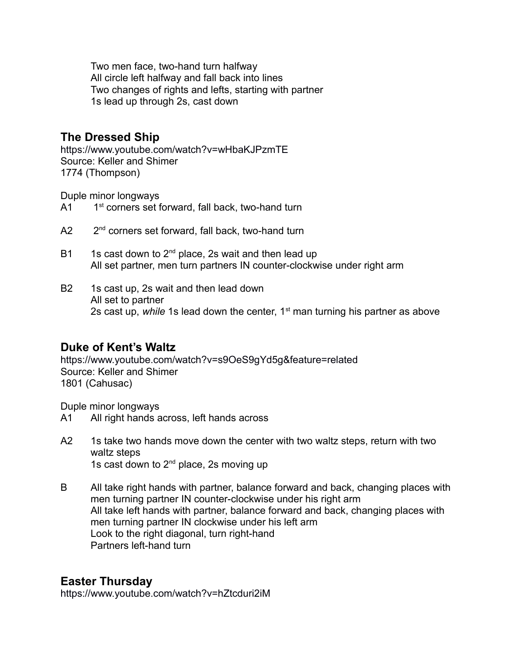Two men face, two-hand turn halfway All circle left halfway and fall back into lines Two changes of rights and lefts, starting with partner 1s lead up through 2s, cast down

### **The Dressed Ship**

<https://www.youtube.com/watch?v=wHbaKJPzmTE> Source: Keller and Shimer 1774 (Thompson)

Duple minor longways

- $A1$  1st corners set forward, fall back, two-hand turn
- A2 2<sup>nd</sup> corners set forward, fall back, two-hand turn
- B1 1s cast down to  $2^{nd}$  place, 2s wait and then lead up All set partner, men turn partners IN counter-clockwise under right arm
- B2 1s cast up, 2s wait and then lead down All set to partner 2s cast up, *while* 1s lead down the center, 1<sup>st</sup> man turning his partner as above

#### **Duke of Kent's Waltz**

<https://www.youtube.com/watch?v=s9OeS9gYd5g&feature=related> Source: Keller and Shimer 1801 (Cahusac)

Duple minor longways

- A1 All right hands across, left hands across
- A2 1s take two hands move down the center with two waltz steps, return with two waltz steps 1s cast down to  $2^{nd}$  place, 2s moving up
- B All take right hands with partner, balance forward and back, changing places with men turning partner IN counter-clockwise under his right arm All take left hands with partner, balance forward and back, changing places with men turning partner IN clockwise under his left arm Look to the right diagonal, turn right-hand Partners left-hand turn

### **Easter Thursday**

<https://www.youtube.com/watch?v=hZtcduri2iM>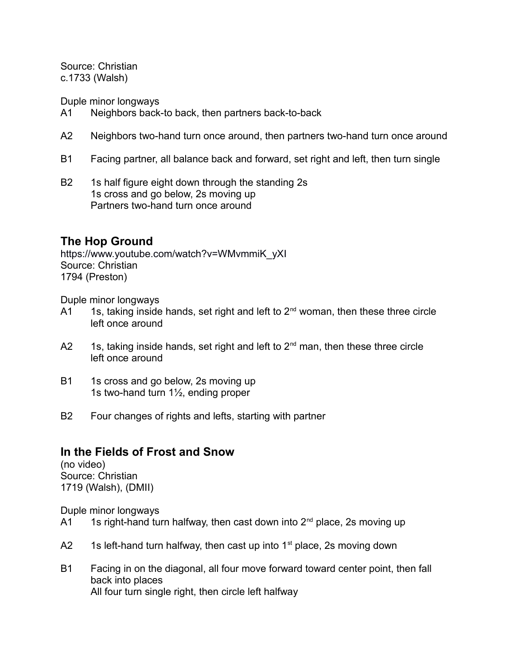Source: Christian c.1733 (Walsh)

Duple minor longways

- A1 Neighbors back-to back, then partners back-to-back
- A2 Neighbors two-hand turn once around, then partners two-hand turn once around
- B1 Facing partner, all balance back and forward, set right and left, then turn single
- B2 1s half figure eight down through the standing 2s 1s cross and go below, 2s moving up Partners two-hand turn once around

# **The Hop Ground**

[https://www.youtube.com/watch?v=WMvmmiK\\_yXI](https://www.youtube.com/watch?v=WMvmmiK_yXI) Source: Christian 1794 (Preston)

Duple minor longways

- $A1$  1s, taking inside hands, set right and left to  $2^{nd}$  woman, then these three circle left once around
- A2 1s, taking inside hands, set right and left to  $2<sup>nd</sup>$  man, then these three circle left once around
- B1 1s cross and go below, 2s moving up 1s two-hand turn 1½, ending proper
- B2 Four changes of rights and lefts, starting with partner

# **In the Fields of Frost and Snow**

(no video) Source: Christian 1719 (Walsh), (DMII)

- A1 1s right-hand turn halfway, then cast down into  $2<sup>nd</sup>$  place, 2s moving up
- A2 1s left-hand turn halfway, then cast up into  $1<sup>st</sup>$  place, 2s moving down
- B1 Facing in on the diagonal, all four move forward toward center point, then fall back into places All four turn single right, then circle left halfway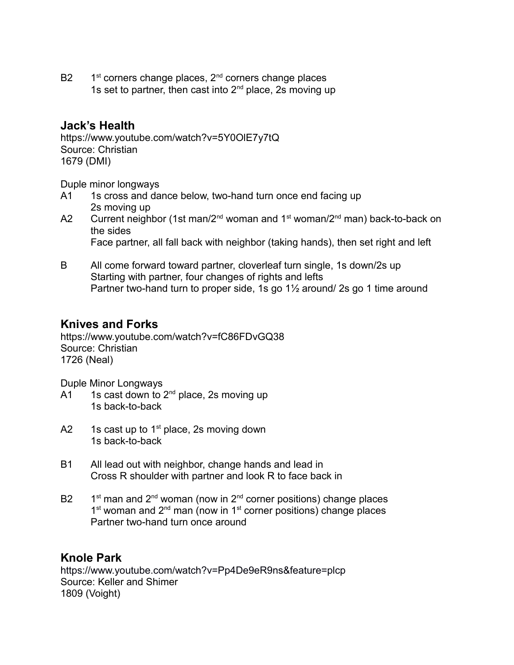**B2**  $1<sup>st</sup>$  corners change places,  $2<sup>nd</sup>$  corners change places 1s set to partner, then cast into  $2^{nd}$  place, 2s moving up

### **Jack's Health**

https://www.youtube.com/watch?v=5Y0OlE7y7tQ Source: Christian 1679 (DMI)

Duple minor longways

- A1 1s cross and dance below, two-hand turn once end facing up 2s moving up
- A2 Current neighbor (1st man/2<sup>nd</sup> woman and 1<sup>st</sup> woman/2<sup>nd</sup> man) back-to-back on the sides Face partner, all fall back with neighbor (taking hands), then set right and left
- B All come forward toward partner, cloverleaf turn single, 1s down/2s up Starting with partner, four changes of rights and lefts Partner two-hand turn to proper side, 1s go 1½ around/ 2s go 1 time around

### **Knives and Forks**

https://www.youtube.com/watch?v=fC86FDvGQ38 Source: Christian 1726 (Neal)

Duple Minor Longways

- $A1$  1s cast down to 2<sup>nd</sup> place, 2s moving up 1s back-to-back
- A2 1s cast up to  $1<sup>st</sup>$  place, 2s moving down 1s back-to-back
- B1 All lead out with neighbor, change hands and lead in Cross R shoulder with partner and look R to face back in
- $B2$  $1<sup>st</sup>$  man and  $2<sup>nd</sup>$  woman (now in  $2<sup>nd</sup>$  corner positions) change places 1<sup>st</sup> woman and 2<sup>nd</sup> man (now in 1<sup>st</sup> corner positions) change places Partner two-hand turn once around

# **Knole Park**

<https://www.youtube.com/watch?v=Pp4De9eR9ns&feature=plcp> Source: Keller and Shimer 1809 (Voight)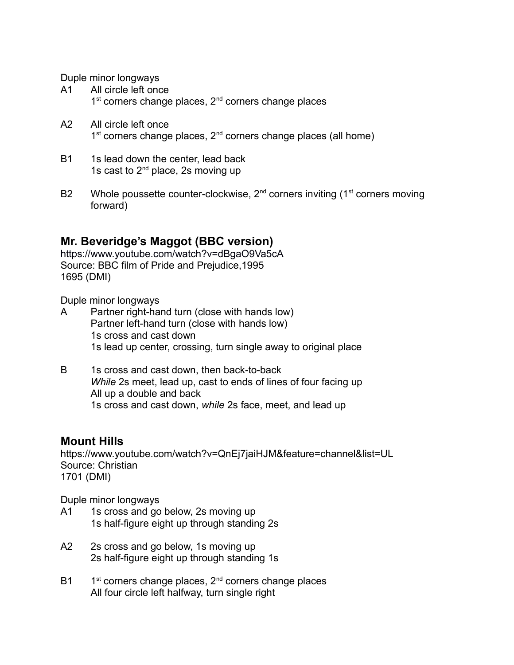Duple minor longways

- A1 All circle left once 1<sup>st</sup> corners change places, 2<sup>nd</sup> corners change places
- A2 All circle left once 1<sup>st</sup> corners change places, 2<sup>nd</sup> corners change places (all home)
- B1 1s lead down the center, lead back 1s cast to  $2^{nd}$  place, 2s moving up
- B2 Whole poussette counter-clockwise,  $2^{nd}$  corners inviting (1<sup>st</sup> corners moving forward)

### **Mr. Beveridge's Maggot (BBC version)**

<https://www.youtube.com/watch?v=dBgaO9Va5cA> Source: BBC film of Pride and Prejudice,1995 1695 (DMI)

Duple minor longways

- A Partner right-hand turn (close with hands low) Partner left-hand turn (close with hands low) 1s cross and cast down 1s lead up center, crossing, turn single away to original place
- B 1s cross and cast down, then back-to-back *While* 2s meet, lead up, cast to ends of lines of four facing up All up a double and back 1s cross and cast down, *while* 2s face, meet, and lead up

#### **Mount Hills**

https://www.youtube.com/watch?v=QnEj7jaiHJM&feature=channel&list=UL Source: Christian 1701 (DMI)

- A1 1s cross and go below, 2s moving up 1s half-figure eight up through standing 2s
- A2 2s cross and go below, 1s moving up 2s half-figure eight up through standing 1s
- $B1$  $1<sup>st</sup>$  corners change places,  $2<sup>nd</sup>$  corners change places All four circle left halfway, turn single right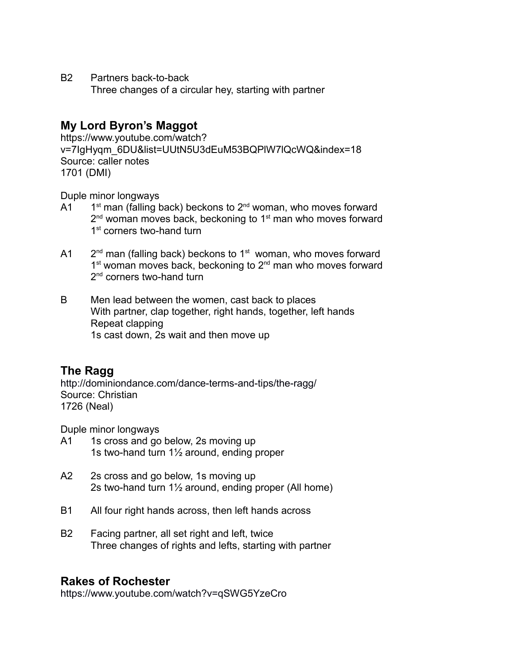B2 Partners back-to-back

Three changes of a circular hey, starting with partner

# **My Lord Byron's Maggot**

https://www.youtube.com/watch? v=7IgHyqm\_6DU&list=UUtN5U3dEuM53BQPlW7lQcWQ&index=18 Source: caller notes 1701 (DMI)

Duple minor longways

- $A1$  $1<sup>st</sup>$  man (falling back) beckons to  $2<sup>nd</sup>$  woman, who moves forward  $2^{\text{nd}}$  woman moves back, beckoning to 1 $^{\text{st}}$  man who moves forward 1<sup>st</sup> corners two-hand turn
- $A1$  $2<sup>nd</sup>$  man (falling back) beckons to 1<sup>st</sup> woman, who moves forward 1<sup>st</sup> woman moves back, beckoning to 2<sup>nd</sup> man who moves forward  $2^{\mathsf{nd}}$  corners two-hand turn
- B Men lead between the women, cast back to places With partner, clap together, right hands, together, left hands Repeat clapping 1s cast down, 2s wait and then move up

# **The Ragg**

<http://dominiondance.com/dance-terms-and-tips/the-ragg/> Source: Christian 1726 (Neal)

Duple minor longways

- A1 1s cross and go below, 2s moving up 1s two-hand turn 1½ around, ending proper
- A2 2s cross and go below, 1s moving up 2s two-hand turn 1½ around, ending proper (All home)
- B1 All four right hands across, then left hands across
- B2 Facing partner, all set right and left, twice Three changes of rights and lefts, starting with partner

# **Rakes of Rochester**

<https://www.youtube.com/watch?v=qSWG5YzeCro>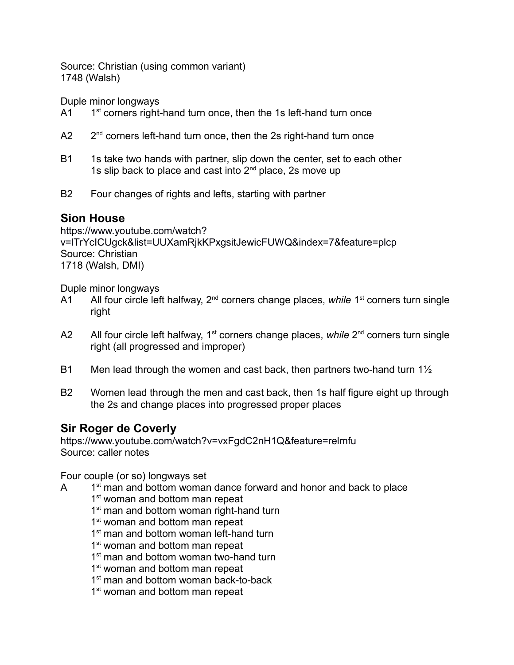Source: Christian (using common variant) 1748 (Walsh)

Duple minor longways

 $A1$  $1<sup>st</sup>$  corners right-hand turn once, then the 1s left-hand turn once

- $A2$  $2<sup>nd</sup>$  corners left-hand turn once, then the 2s right-hand turn once
- B1 1s take two hands with partner, slip down the center, set to each other 1s slip back to place and cast into 2<sup>nd</sup> place, 2s move up
- B2 Four changes of rights and lefts, starting with partner

# **Sion House**

[https://www.youtube.com/watch?](https://www.youtube.com/watch?v=lTrYcICUgck&list=UUXamRjkKPxgsitJewicFUWQ&index=7&feature=plcp) [v=lTrYcICUgck&list=UUXamRjkKPxgsitJewicFUWQ&index=7&feature=plcp](https://www.youtube.com/watch?v=lTrYcICUgck&list=UUXamRjkKPxgsitJewicFUWQ&index=7&feature=plcp) Source: Christian 1718 (Walsh, DMI)

Duple minor longways

- A1 All four circle left halfway, 2<sup>nd</sup> corners change places, *while* 1<sup>st</sup> corners turn single right
- A2 All four circle left halfway, 1<sup>st</sup> corners change places, *while* 2<sup>nd</sup> corners turn single right (all progressed and improper)
- B1 Men lead through the women and cast back, then partners two-hand turn  $1\frac{1}{2}$
- B2 Women lead through the men and cast back, then 1s half figure eight up through the 2s and change places into progressed proper places

# **Sir Roger de Coverly**

<https://www.youtube.com/watch?v=vxFgdC2nH1Q&feature=relmfu> Source: caller notes

Four couple (or so) longways set

- $\mathsf{A}$ 1<sup>st</sup> man and bottom woman dance forward and honor and back to place 1<sup>st</sup> woman and bottom man repeat
	- 1<sup>st</sup> man and bottom woman right-hand turn
	- 1<sup>st</sup> woman and bottom man repeat
	- 1<sup>st</sup> man and bottom woman left-hand turn
	- 1<sup>st</sup> woman and bottom man repeat
	- 1<sup>st</sup> man and bottom woman two-hand turn
	- 1<sup>st</sup> woman and bottom man repeat
	- 1<sup>st</sup> man and bottom woman back-to-back
	- 1<sup>st</sup> woman and bottom man repeat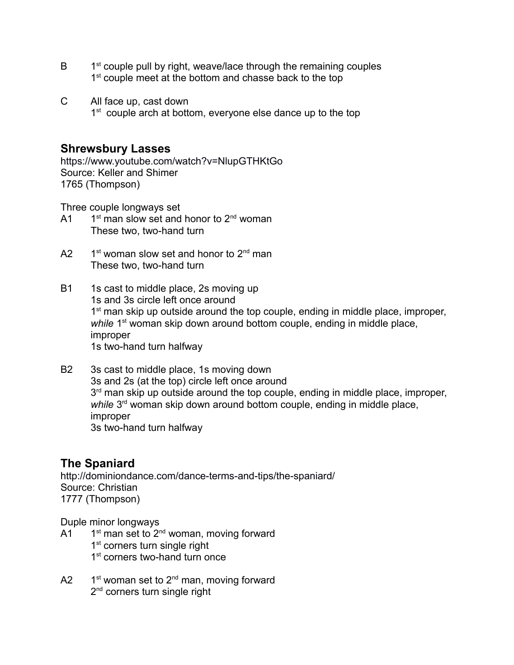- $\overline{B}$ 1<sup>st</sup> couple pull by right, weave/lace through the remaining couples 1<sup>st</sup> couple meet at the bottom and chasse back to the top
- C All face up, cast down 1<sup>st</sup> couple arch at bottom, everyone else dance up to the top

### **Shrewsbury Lasses**

<https://www.youtube.com/watch?v=NlupGTHKtGo> Source: Keller and Shimer 1765 (Thompson)

Three couple longways set

- $A<sub>1</sub>$  $1<sup>st</sup>$  man slow set and honor to  $2<sup>nd</sup>$  woman These two, two-hand turn
- $A2$  $1<sup>st</sup>$  woman slow set and honor to  $2<sup>nd</sup>$  man These two, two-hand turn
- B1 1s cast to middle place, 2s moving up 1s and 3s circle left once around 1<sup>st</sup> man skip up outside around the top couple, ending in middle place, improper, *while* 1<sup>st</sup> woman skip down around bottom couple, ending in middle place, improper 1s two-hand turn halfway
- B2 3s cast to middle place, 1s moving down 3s and 2s (at the top) circle left once around 3<sup>rd</sup> man skip up outside around the top couple, ending in middle place, improper, while 3<sup>rd</sup> woman skip down around bottom couple, ending in middle place, improper 3s two-hand turn halfway

# **The Spaniard**

<http://dominiondance.com/dance-terms-and-tips/the-spaniard/> Source: Christian 1777 (Thompson)

- $A<sub>1</sub>$  $1<sup>st</sup>$  man set to  $2<sup>nd</sup>$  woman, moving forward
	- 1<sup>st</sup> corners turn single right
	- 1<sup>st</sup> corners two-hand turn once
- $A2$  $1<sup>st</sup>$  woman set to  $2<sup>nd</sup>$  man, moving forward 2<sup>nd</sup> corners turn single right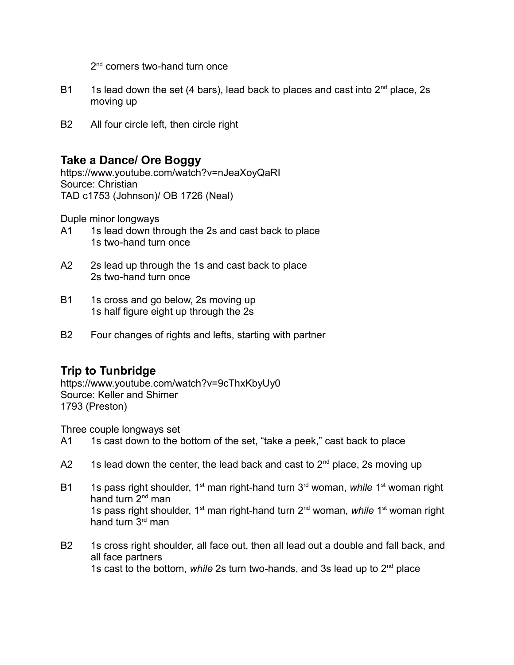2<sup>nd</sup> corners two-hand turn once

- B1 1s lead down the set (4 bars), lead back to places and cast into  $2<sup>nd</sup>$  place, 2s moving up
- B2 All four circle left, then circle right

### **Take a Dance/ Ore Boggy**

<https://www.youtube.com/watch?v=nJeaXoyQaRI> Source: Christian TAD c1753 (Johnson)/ OB 1726 (Neal)

Duple minor longways

- A1 1s lead down through the 2s and cast back to place 1s two-hand turn once
- A2 2s lead up through the 1s and cast back to place 2s two-hand turn once
- B1 1s cross and go below, 2s moving up 1s half figure eight up through the 2s
- B2 Four changes of rights and lefts, starting with partner

# **Trip to Tunbridge**

<https://www.youtube.com/watch?v=9cThxKbyUy0> Source: Keller and Shimer 1793 (Preston)

Three couple longways set

- A1 1s cast down to the bottom of the set, "take a peek," cast back to place
- A2 1s lead down the center, the lead back and cast to  $2^{nd}$  place, 2s moving up
- B1 1s pass right shoulder, 1<sup>st</sup> man right-hand turn 3<sup>rd</sup> woman, *while* 1<sup>st</sup> woman right hand turn 2<sup>nd</sup> man 1s pass right shoulder, 1st man right-hand turn 2nd woman, *while* 1st woman right hand turn  $3<sup>rd</sup>$  man
- B2 1s cross right shoulder, all face out, then all lead out a double and fall back, and all face partners 1s cast to the bottom, *while* 2s turn two-hands, and 3s lead up to 2nd place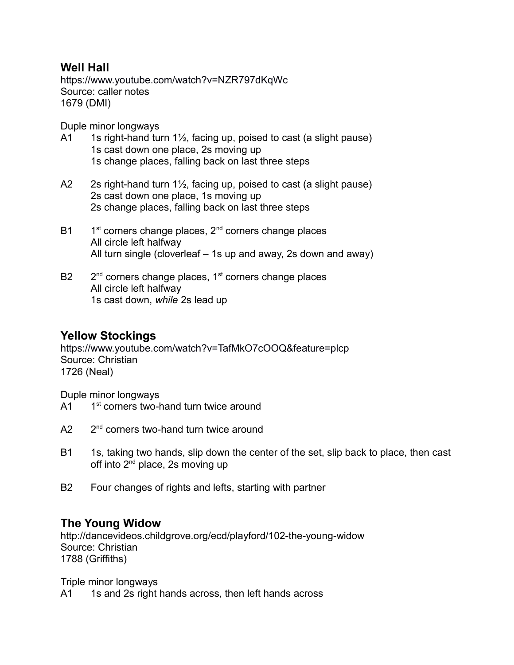### **Well Hall**

<https://www.youtube.com/watch?v=NZR797dKqWc> Source: caller notes 1679 (DMI)

Duple minor longways

- A1 1s right-hand turn  $1\frac{1}{2}$ , facing up, poised to cast (a slight pause) 1s cast down one place, 2s moving up 1s change places, falling back on last three steps
- A2 2s right-hand turn 1½, facing up, poised to cast (a slight pause) 2s cast down one place, 1s moving up 2s change places, falling back on last three steps
- $B1$  $1<sup>st</sup>$  corners change places,  $2<sup>nd</sup>$  corners change places All circle left halfway All turn single (cloverleaf – 1s up and away, 2s down and away)
- $B2$  $2<sup>nd</sup>$  corners change places,  $1<sup>st</sup>$  corners change places All circle left halfway 1s cast down, *while* 2s lead up

# **Yellow Stockings**

<https://www.youtube.com/watch?v=TafMkO7cOOQ&feature=plcp> Source: Christian 1726 (Neal)

Duple minor longways

- $A<sub>1</sub>$ 1<sup>st</sup> corners two-hand turn twice around
- $A2$  $2<sup>nd</sup>$  corners two-hand turn twice around
- B1 1s, taking two hands, slip down the center of the set, slip back to place, then cast off into  $2^{nd}$  place, 2s moving up
- B2 Four changes of rights and lefts, starting with partner

# **The Young Widow**

http://dancevideos.childgrove.org/ecd/playford/102-the-young-widow Source: Christian 1788 (Griffiths)

Triple minor longways

A1 1s and 2s right hands across, then left hands across